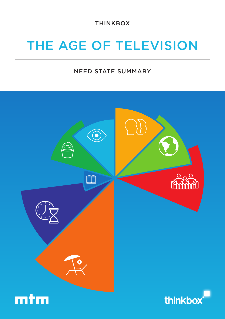THINKBOX

# THE AGE OF TELEVISION

### NEED STATE SUMMARY

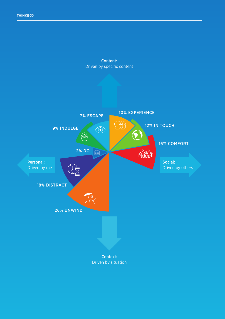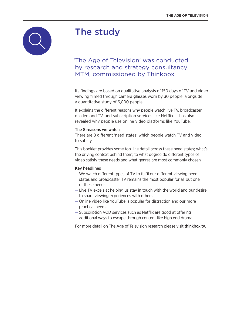

# The study

### 'The Age of Television' was conducted by research and strategy consultancy MTM, commissioned by Thinkbox

Its findings are based on qualitative analysis of 150 days of TV and video viewing filmed through camera glasses worn by 30 people, alongside a quantitative study of 6,000 people.

It explains the different reasons why people watch live TV, broadcaster on-demand TV, and subscription services like Netflix. It has also revealed why people use online video platforms like YouTube.

#### The 8 reasons we watch

There are 8 different 'need states' which people watch TV and video to satisfy.

This booklet provides some top-line detail across these need states; what's the driving context behind them; to what degree do different types of video satisfy these needs and what genres are most commonly chosen.

#### Key headlines

- —We watch different types of TV to fulfil our different viewing need states and broadcaster TV remains the most popular for all but one of these needs.
- Live TV excels at helping us stay in touch with the world and our desire to share viewing experiences with others.
- Online video like YouTube is popular for distraction and our more practical needs.
- Subscription VOD services such as Netflix are good at offering additional ways to escape through content like high end drama.

For more detail on The Age of Television research please visit thinkbox.tv.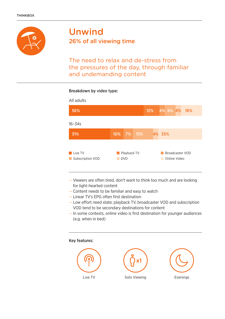

### Unwind 26% of all viewing time

The need to relax and de-stress from the pressures of the day, through familiar and undemanding content

### Breakdown by video type:



- Viewers are often tired, don't want to think too much and are looking for light-hearted content
- Content needs to be familiar and easy to watch
- Linear TV's EPG often first destination
- Low effort need state; playback TV, broadcaster VOD and subscription VOD tend to be secondary destinations for content
- In some contexts, online video is first destination for younger audiences (e.g. when in bed)

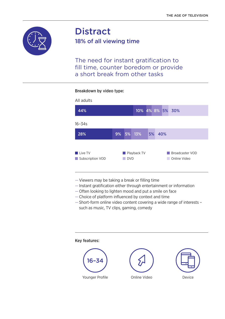

# **Distract**

18% of all viewing time

The need for instant gratification to fill time, counter boredom or provide a short break from other tasks

### Breakdown by video type:



- Viewers may be taking a break or filling time
- Instant gratification either through entertainment or information
- Often looking to lighten mood and put a smile on face
- Choice of platform influenced by context and time
- Short-form online video content covering a wide range of interests such as music, TV clips, gaming, comedy

Key features:

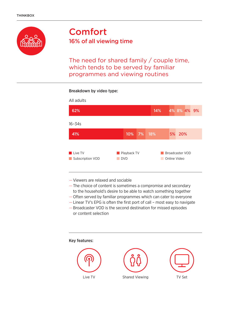

## Comfort 16% of all viewing time

The need for shared family / couple time, which tends to be served by familiar programmes and viewing routines

### Breakdown by video type:

| All adults                               |                           |  |  |     |              |                 |  |  |
|------------------------------------------|---------------------------|--|--|-----|--------------|-----------------|--|--|
| 62%                                      |                           |  |  | 14% |              | 4% 8% 4% 9%     |  |  |
| $16 - 34s$                               |                           |  |  |     |              |                 |  |  |
| 41%                                      | 10% 7%                    |  |  | 18% |              | 5% 20%          |  |  |
| <b>Live TV</b><br>Subscription VOD<br>m. | Playback TV<br><b>DVD</b> |  |  |     | Online Video | Broadcaster VOD |  |  |

- Viewers are relaxed and sociable
- The choice of content is sometimes a compromise and secondary to the household's desire to be able to watch something together
- Often served by familiar programmes which can cater to everyone
- Linear TV's EPG is often the first port of call most easy to navigate — Broadcaster VOD is the second destination for missed episodes or content selection
- 



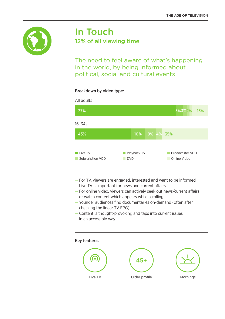

### In Touch 12% of all viewing time

The need to feel aware of what's happening in the world, by being informed about political, social and cultural events

### Breakdown by video type:



- For TV, viewers are engaged, interested and want to be informed
- Live TV is important for news and current affairs
- For online video, viewers can actively seek out news/current affairs or watch content which appears while scrolling
- Younger audiences find documentaries on-demand (often after checking the linear TV EPG)
- Content is thought-provoking and taps into current issues in an accessible way

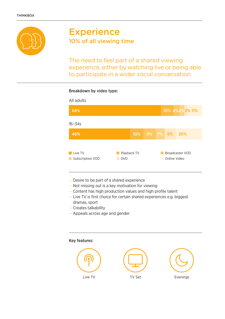

# **Experience** 10% of all viewing time

The need to feel part of a shared viewing experience, either by watching live or being able to participate in a wider social conversation

### Breakdown by video type:



- Desire to be part of a shared experience
- Not missing out is a key motivation for viewing
- Content has high production values and high profile talent
- Live TV is first choice for certain shared experiences e.g. biggest dramas, sport
- Creates talkability
- Appeals across age and gender

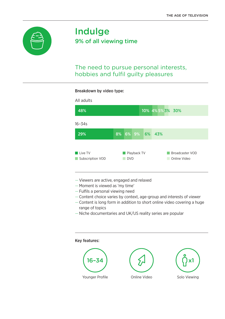

## Indulge 9% of all viewing time

### The need to pursue personal interests, hobbies and fulfil guilty pleasures

#### Breakdown by video type:



- Viewers are active, engaged and relaxed
- Moment is viewed as 'my time'
- Fulfils a personal viewing need
- Content choice varies by context, age-group and interests of viewer
- Content is long form in addition to short online video covering a huge range of topics
- Niche documentaries and UK/US reality series are popular

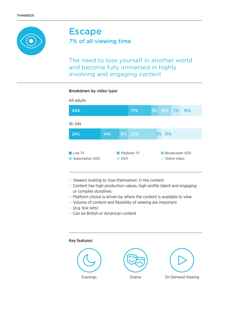

# Escape

7% of all viewing time

The need to lose yourself in another world and become fully immersed in highly involving and engaging content

### Breakdown by video type:

| All adults                                |     |            |             |           |              |                 |  |
|-------------------------------------------|-----|------------|-------------|-----------|--------------|-----------------|--|
| 44%                                       |     |            | 17%         | 5% 10% 7% |              | 16%             |  |
| $16 - 34s$                                |     |            |             |           |              |                 |  |
| 24%                                       | 14% |            | 6% 22%      | 3% 31%    |              |                 |  |
| <b>Live TV</b><br>Subscription VOD<br>l a |     | <b>DVD</b> | Playback TV |           | Online Video | Broadcaster VOD |  |

- Viewers looking to 'lose themselves' in the content
- Content has high production values, high profile talent and engaging or complex storylines
- Platform choice is driven by where the content is available to view
- Volume of content and flexibility of viewing are important (e.g. box sets)
- Can be British or American content

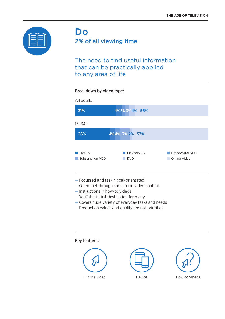

### Do 2% of all viewing time

The need to find useful information that can be practically applied to any area of life

#### Breakdown by video type:



- Focussed and task / goal-orientated
- Often met through short-form video content
- Instructional / how-to videos
- YouTube is first destination for many
- Covers huge variety of everyday tasks and needs
- Production values and quality are not priorities